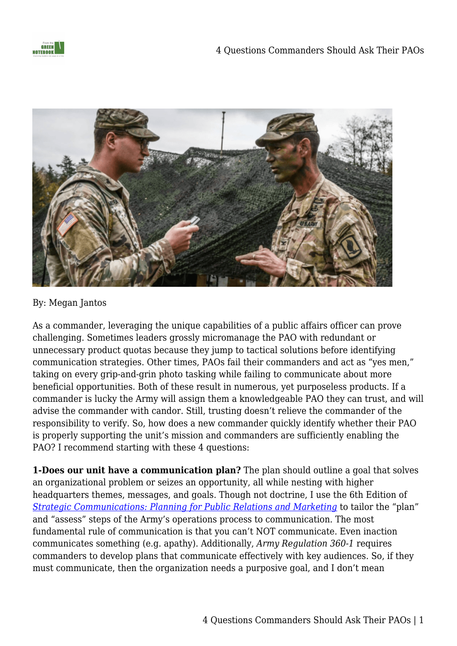



## By: Megan Jantos

As a commander, leveraging the unique capabilities of a public affairs officer can prove challenging. Sometimes leaders grossly micromanage the PAO with redundant or unnecessary product quotas because they jump to tactical solutions before identifying communication strategies. Other times, PAOs fail their commanders and act as "yes men," taking on every grip-and-grin photo tasking while failing to communicate about more beneficial opportunities. Both of these result in numerous, yet purposeless products. If a commander is lucky the Army will assign them a knowledgeable PAO they can trust, and will advise the commander with candor. Still, trusting doesn't relieve the commander of the responsibility to verify. So, how does a new commander quickly identify whether their PAO is properly supporting the unit's mission and commanders are sufficiently enabling the PAO? I recommend starting with these 4 questions:

**1-Does our unit have a communication plan?** The plan should outline a goal that solves an organizational problem or seizes an opportunity, all while nesting with higher headquarters themes, messages, and goals. Though not doctrine, I use the 6th Edition of *[Strategic Communications: Planning for Public Relations and Marketing](https://www.amazon.com/gp/product/146529774X/ref=as_li_qf_asin_il_tl?ie=UTF8&tag=fromthegreenn-20&creative=9325&linkCode=as2&creativeASIN=146529774X&linkId=5a097fe58f2c0b14dcca96092aa48b62)* to tailor the "plan" and "assess" steps of the Army's operations process to communication. The most fundamental rule of communication is that you can't NOT communicate. Even inaction communicates something (e.g. apathy). Additionally, *Army Regulation 360-1* requires commanders to develop plans that communicate effectively with key audiences. So, if they must communicate, then the organization needs a purposive goal, and I don't mean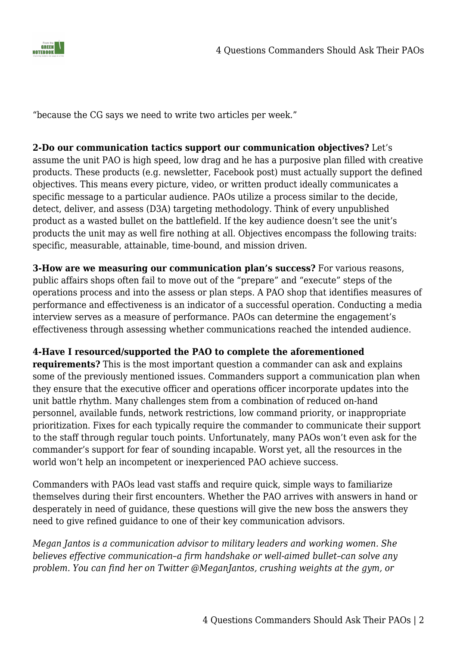

"because the CG says we need to write two articles per week."

## **2-Do our communication tactics support our communication objectives?** Let's

assume the unit PAO is high speed, low drag and he has a purposive plan filled with creative products. These products (e.g. newsletter, Facebook post) must actually support the defined objectives. This means every picture, video, or written product ideally communicates a specific message to a particular audience. PAOs utilize a process similar to the decide, detect, deliver, and assess (D3A) targeting methodology. Think of every unpublished product as a wasted bullet on the battlefield. If the key audience doesn't see the unit's products the unit may as well fire nothing at all. Objectives encompass the following traits: specific, measurable, attainable, time-bound, and mission driven.

**3-How are we measuring our communication plan's success?** For various reasons, public affairs shops often fail to move out of the "prepare" and "execute" steps of the operations process and into the assess or plan steps. A PAO shop that identifies measures of performance and effectiveness is an indicator of a successful operation. Conducting a media interview serves as a measure of performance. PAOs can determine the engagement's effectiveness through assessing whether communications reached the intended audience.

## **4-Have I resourced/supported the PAO to complete the aforementioned**

**requirements?** This is the most important question a commander can ask and explains some of the previously mentioned issues. Commanders support a communication plan when they ensure that the executive officer and operations officer incorporate updates into the unit battle rhythm. Many challenges stem from a combination of reduced on-hand personnel, available funds, network restrictions, low command priority, or inappropriate prioritization. Fixes for each typically require the commander to communicate their support to the staff through regular touch points. Unfortunately, many PAOs won't even ask for the commander's support for fear of sounding incapable. Worst yet, all the resources in the world won't help an incompetent or inexperienced PAO achieve success.

Commanders with PAOs lead vast staffs and require quick, simple ways to familiarize themselves during their first encounters. Whether the PAO arrives with answers in hand or desperately in need of quidance, these questions will give the new boss the answers they need to give refined guidance to one of their key communication advisors.

*Megan Jantos is a communication advisor to military leaders and working women. She believes effective communication–a firm handshake or well-aimed bullet–can solve any problem. You can find her on Twitter @MeganJantos, crushing weights at the gym, or*